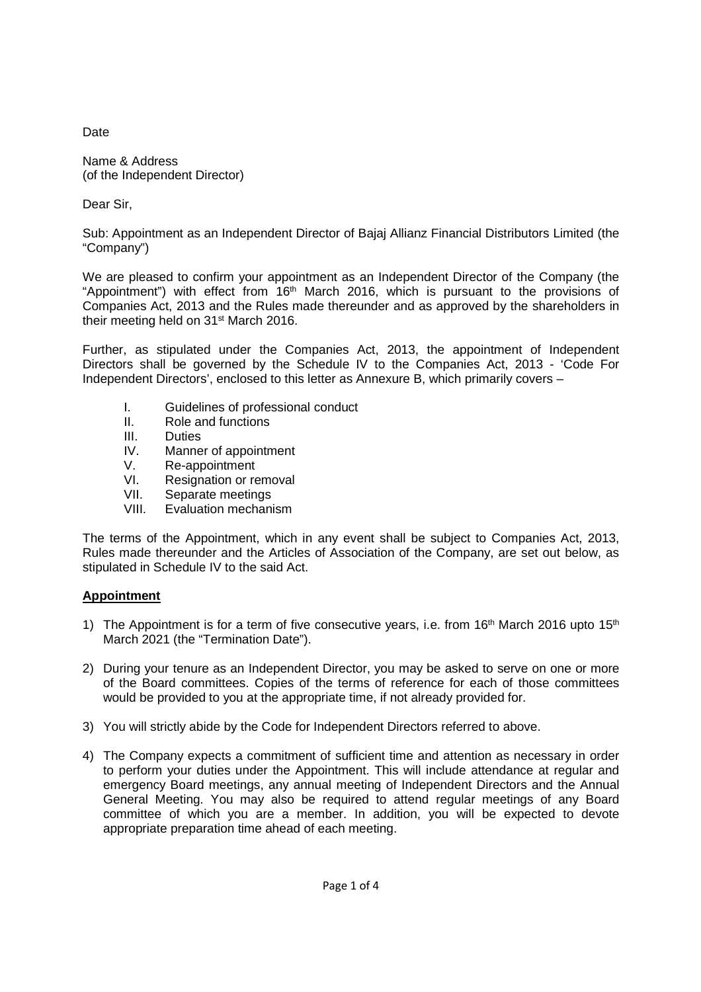Date

Name & Address (of the Independent Director)

Dear Sir,

Sub: Appointment as an Independent Director of Bajaj Allianz Financial Distributors Limited (the "Company")

We are pleased to confirm your appointment as an Independent Director of the Company (the "Appointment") with effect from 16<sup>th</sup> March 2016, which is pursuant to the provisions of Companies Act, 2013 and the Rules made thereunder and as approved by the shareholders in their meeting held on 31st March 2016.

Further, as stipulated under the Companies Act, 2013, the appointment of Independent Directors shall be governed by the Schedule IV to the Companies Act, 2013 - 'Code For Independent Directors', enclosed to this letter as Annexure B, which primarily covers –

- I. Guidelines of professional conduct
- II. Role and functions
- III. Duties
- IV. Manner of appointment
- V. Re-appointment
- VI. Resignation or removal
- VII. Separate meetings<br>VIII. Evaluation mechani
- Evaluation mechanism

The terms of the Appointment, which in any event shall be subject to Companies Act, 2013, Rules made thereunder and the Articles of Association of the Company, are set out below, as stipulated in Schedule IV to the said Act.

# **Appointment**

- 1) The Appointment is for a term of five consecutive years, i.e. from  $16<sup>th</sup>$  March 2016 upto  $15<sup>th</sup>$ March 2021 (the "Termination Date").
- 2) During your tenure as an Independent Director, you may be asked to serve on one or more of the Board committees. Copies of the terms of reference for each of those committees would be provided to you at the appropriate time, if not already provided for.
- 3) You will strictly abide by the Code for Independent Directors referred to above.
- 4) The Company expects a commitment of sufficient time and attention as necessary in order to perform your duties under the Appointment. This will include attendance at regular and emergency Board meetings, any annual meeting of Independent Directors and the Annual General Meeting. You may also be required to attend regular meetings of any Board committee of which you are a member. In addition, you will be expected to devote appropriate preparation time ahead of each meeting.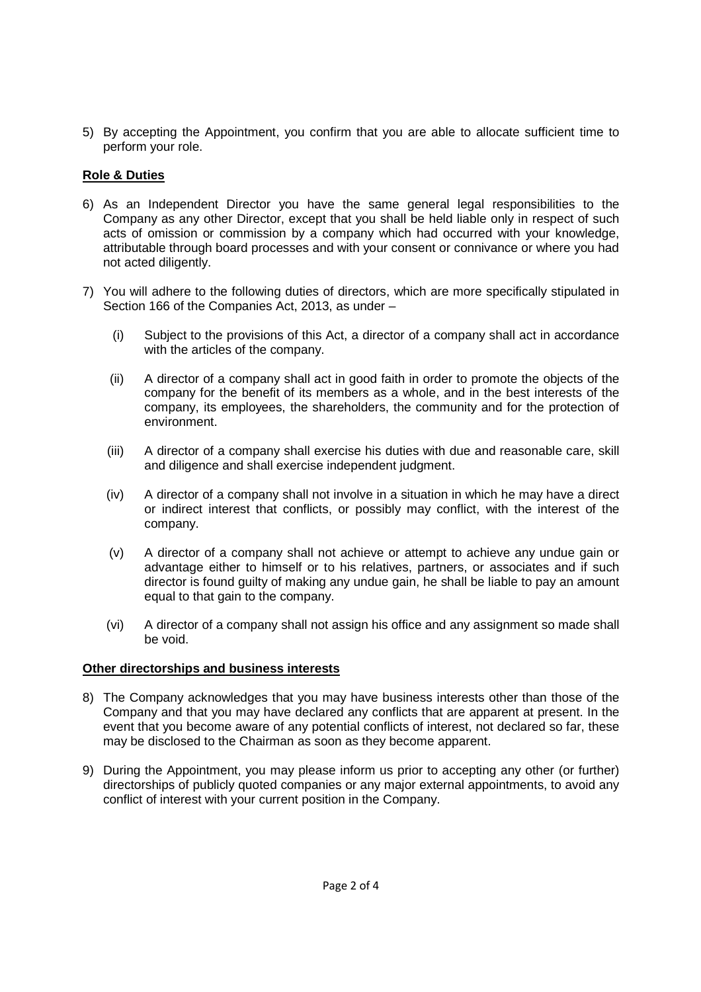5) By accepting the Appointment, you confirm that you are able to allocate sufficient time to perform your role.

# **Role & Duties**

- 6) As an Independent Director you have the same general legal responsibilities to the Company as any other Director, except that you shall be held liable only in respect of such acts of omission or commission by a company which had occurred with your knowledge, attributable through board processes and with your consent or connivance or where you had not acted diligently.
- 7) You will adhere to the following duties of directors, which are more specifically stipulated in Section 166 of the Companies Act, 2013, as under –
	- (i) Subject to the provisions of this Act, a director of a company shall act in accordance with the articles of the company.
	- (ii) A director of a company shall act in good faith in order to promote the objects of the company for the benefit of its members as a whole, and in the best interests of the company, its employees, the shareholders, the community and for the protection of environment.
	- (iii) A director of a company shall exercise his duties with due and reasonable care, skill and diligence and shall exercise independent judgment.
	- (iv) A director of a company shall not involve in a situation in which he may have a direct or indirect interest that conflicts, or possibly may conflict, with the interest of the company.
	- (v) A director of a company shall not achieve or attempt to achieve any undue gain or advantage either to himself or to his relatives, partners, or associates and if such director is found guilty of making any undue gain, he shall be liable to pay an amount equal to that gain to the company.
	- (vi) A director of a company shall not assign his office and any assignment so made shall be void.

## **Other directorships and business interests**

- 8) The Company acknowledges that you may have business interests other than those of the Company and that you may have declared any conflicts that are apparent at present. In the event that you become aware of any potential conflicts of interest, not declared so far, these may be disclosed to the Chairman as soon as they become apparent.
- 9) During the Appointment, you may please inform us prior to accepting any other (or further) directorships of publicly quoted companies or any major external appointments, to avoid any conflict of interest with your current position in the Company.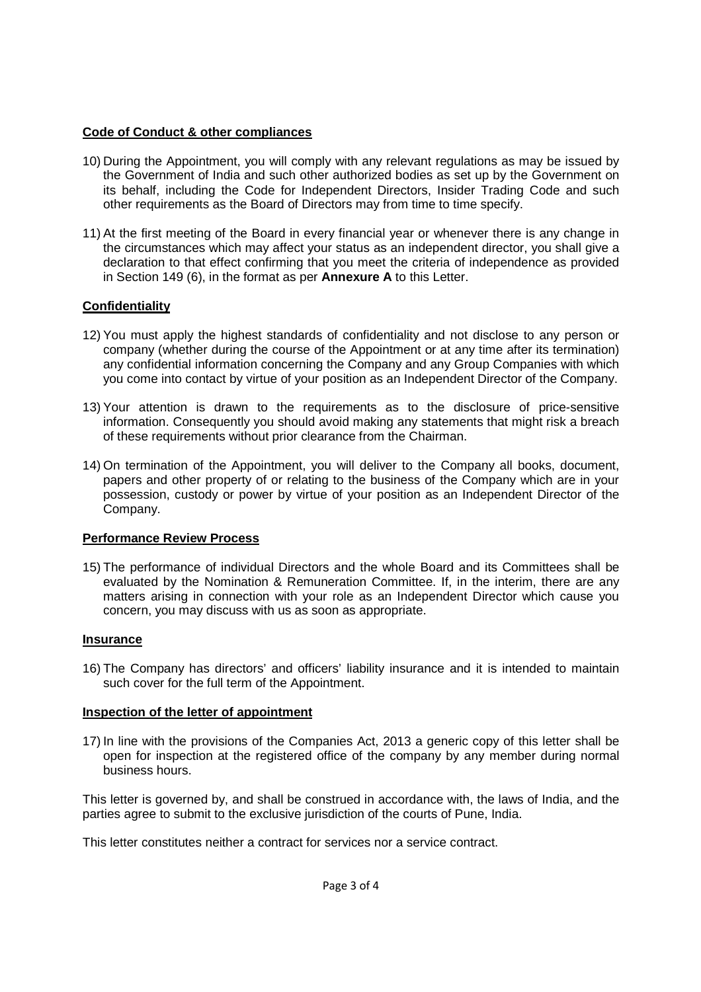## **Code of Conduct & other compliances**

- 10) During the Appointment, you will comply with any relevant regulations as may be issued by the Government of India and such other authorized bodies as set up by the Government on its behalf, including the Code for Independent Directors, Insider Trading Code and such other requirements as the Board of Directors may from time to time specify.
- 11) At the first meeting of the Board in every financial year or whenever there is any change in the circumstances which may affect your status as an independent director, you shall give a declaration to that effect confirming that you meet the criteria of independence as provided in Section 149 (6), in the format as per **Annexure A** to this Letter.

# **Confidentiality**

- 12) You must apply the highest standards of confidentiality and not disclose to any person or company (whether during the course of the Appointment or at any time after its termination) any confidential information concerning the Company and any Group Companies with which you come into contact by virtue of your position as an Independent Director of the Company.
- 13) Your attention is drawn to the requirements as to the disclosure of price-sensitive information. Consequently you should avoid making any statements that might risk a breach of these requirements without prior clearance from the Chairman.
- 14) On termination of the Appointment, you will deliver to the Company all books, document, papers and other property of or relating to the business of the Company which are in your possession, custody or power by virtue of your position as an Independent Director of the Company.

## **Performance Review Process**

15) The performance of individual Directors and the whole Board and its Committees shall be evaluated by the Nomination & Remuneration Committee. If, in the interim, there are any matters arising in connection with your role as an Independent Director which cause you concern, you may discuss with us as soon as appropriate.

## **Insurance**

16) The Company has directors' and officers' liability insurance and it is intended to maintain such cover for the full term of the Appointment.

## **Inspection of the letter of appointment**

17) In line with the provisions of the Companies Act, 2013 a generic copy of this letter shall be open for inspection at the registered office of the company by any member during normal business hours.

This letter is governed by, and shall be construed in accordance with, the laws of India, and the parties agree to submit to the exclusive jurisdiction of the courts of Pune, India.

This letter constitutes neither a contract for services nor a service contract.